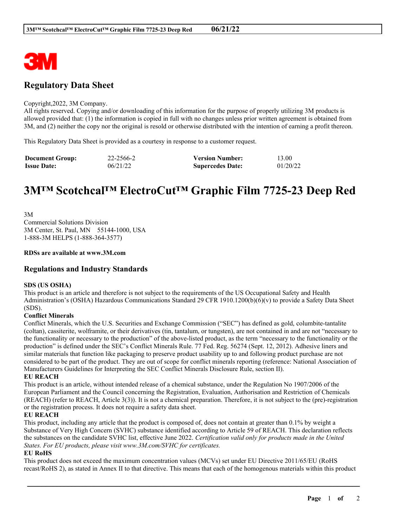

# **Regulatory Data Sheet**

#### Copyright,2022, 3M Company.

All rights reserved. Copying and/or downloading of this information for the purpose of properly utilizing 3M products is allowed provided that: (1) the information is copied in full with no changes unless prior written agreement is obtained from 3M, and (2) neither the copy nor the original is resold or otherwise distributed with the intention of earning a profit thereon.

This Regulatory Data Sheet is provided as a courtesy in response to a customer request.

| <b>Document Group:</b> | 22-2566-2 | <b>Version Number:</b>  | 13.00    |
|------------------------|-----------|-------------------------|----------|
| <b>Issue Date:</b>     | 06/21/22  | <b>Supercedes Date:</b> | 01/20/22 |

# **3M™ Scotchcal™ ElectroCut™ Graphic Film 7725-23 Deep Red**

3M Commercial Solutions Division 3M Center, St. Paul, MN 55144-1000, USA 1-888-3M HELPS (1-888-364-3577)

#### **RDSs are available at www.3M.com**

# **Regulations and Industry Standards**

## **SDS (US OSHA)**

This product is an article and therefore is not subject to the requirements of the US Occupational Safety and Health Administration's (OSHA) Hazardous Communications Standard 29 CFR 1910.1200(b)(6)(v) to provide a Safety Data Sheet (SDS).

## **Conflict Minerals**

Conflict Minerals, which the U.S. Securities and Exchange Commission ("SEC") has defined as gold, columbite-tantalite (coltan), cassiterite, wolframite, or their derivatives (tin, tantalum, or tungsten), are not contained in and are not "necessary to the functionality or necessary to the production" of the above-listed product, as the term "necessary to the functionality or the production" is defined under the SEC's Conflict Minerals Rule. 77 Fed. Reg. 56274 (Sept. 12, 2012). Adhesive liners and similar materials that function like packaging to preserve product usability up to and following product purchase are not considered to be part of the product. They are out of scope for conflict minerals reporting (reference: National Association of Manufacturers Guidelines for Interpreting the SEC Conflict Minerals Disclosure Rule, section II).

#### **EU REACH**

This product is an article, without intended release of a chemical substance, under the Regulation No 1907/2006 of the European Parliament and the Council concerning the Registration, Evaluation, Authorisation and Restriction of Chemicals (REACH) (refer to REACH, Article 3(3)). It is not a chemical preparation. Therefore, it is not subject to the (pre)-registration or the registration process. It does not require a safety data sheet.

## **EU REACH**

This product, including any article that the product is composed of, does not contain at greater than 0.1% by weight a Substance of Very High Concern (SVHC) substance identified according to Article 59 of REACH. This declaration reflects the substances on the candidate SVHC list, effective June 2022. *Certification valid only for products made in the United States. For EU products, please visit www.3M.com/SVHC for certificates.*

## **EU RoHS**

This product does not exceed the maximum concentration values (MCVs) set under EU Directive 2011/65/EU (RoHS recast/RoHS 2), as stated in Annex II to that directive. This means that each of the homogenous materials within this product

\_\_\_\_\_\_\_\_\_\_\_\_\_\_\_\_\_\_\_\_\_\_\_\_\_\_\_\_\_\_\_\_\_\_\_\_\_\_\_\_\_\_\_\_\_\_\_\_\_\_\_\_\_\_\_\_\_\_\_\_\_\_\_\_\_\_\_\_\_\_\_\_\_\_\_\_\_\_\_\_\_\_\_\_\_\_\_\_\_\_